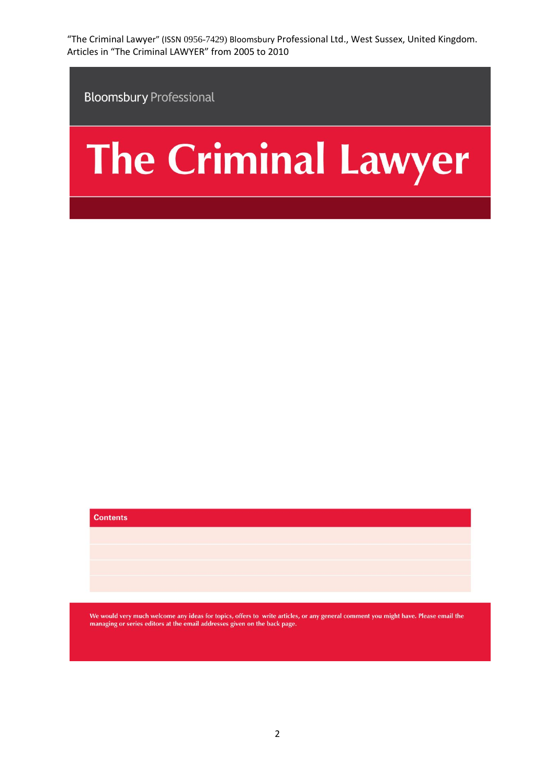**Bloomsbury Professional** 

# The Criminal Lawyer

| <b>Contents</b> |  |  |  |
|-----------------|--|--|--|
|                 |  |  |  |
|                 |  |  |  |
|                 |  |  |  |
|                 |  |  |  |

We would very much welcome any ideas for topics, offers to write articles, or any general comment you might have. Please email the managing or series editors at the email addresses given on the back page.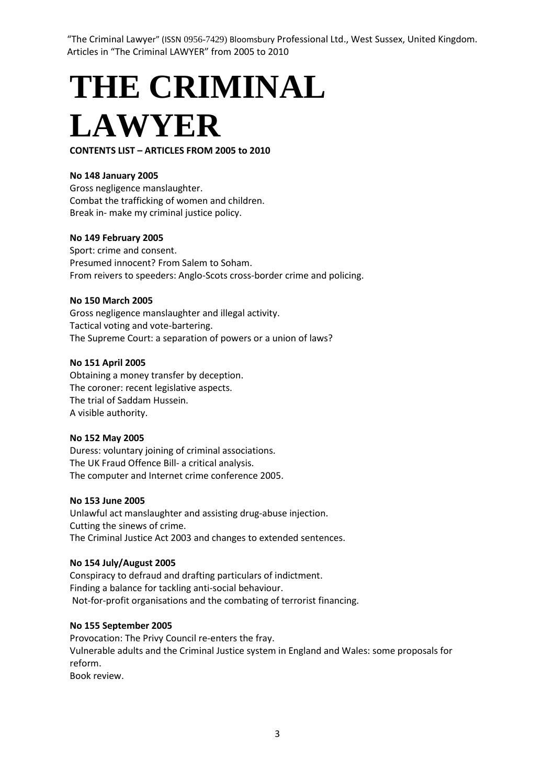**THE CRIMINAL LAWYER**

# **CONTENTS LIST – ARTICLES FROM 2005 to 2010**

## **No 148 January 2005**

Gross negligence manslaughter. Combat the trafficking of women and children. Break in- make my criminal justice policy.

#### **No 149 February 2005**

Sport: crime and consent. Presumed innocent? From Salem to Soham. From reivers to speeders: Anglo-Scots cross-border crime and policing.

#### **No 150 March 2005**

Gross negligence manslaughter and illegal activity. Tactical voting and vote-bartering. The Supreme Court: a separation of powers or a union of laws?

#### **No 151 April 2005**

Obtaining a money transfer by deception. The coroner: recent legislative aspects. The trial of Saddam Hussein. A visible authority.

#### **No 152 May 2005**

Duress: voluntary joining of criminal associations. The UK Fraud Offence Bill- a critical analysis. The computer and Internet crime conference 2005.

#### **No 153 June 2005**

Unlawful act manslaughter and assisting drug-abuse injection. Cutting the sinews of crime. The Criminal Justice Act 2003 and changes to extended sentences.

## **No 154 July/August 2005**

Conspiracy to defraud and drafting particulars of indictment. Finding a balance for tackling anti-social behaviour. Not-for-profit organisations and the combating of terrorist financing.

#### **No 155 September 2005**

Provocation: The Privy Council re-enters the fray. Vulnerable adults and the Criminal Justice system in England and Wales: some proposals for reform.

Book review.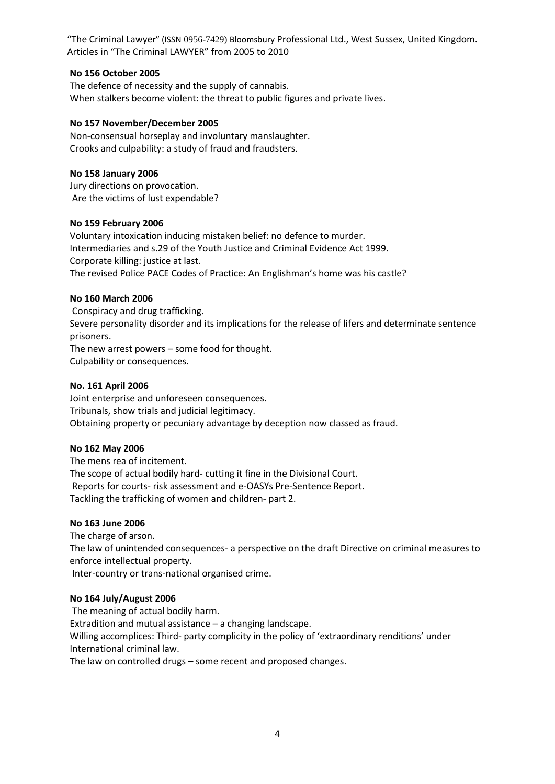## **No 156 October 2005**

The defence of necessity and the supply of cannabis. When stalkers become violent: the threat to public figures and private lives.

# **No 157 November/December 2005**

Non-consensual horseplay and involuntary manslaughter. Crooks and culpability: a study of fraud and fraudsters.

# **No 158 January 2006**

Jury directions on provocation. Are the victims of lust expendable?

## **No 159 February 2006**

Voluntary intoxication inducing mistaken belief: no defence to murder. Intermediaries and s.29 of the Youth Justice and Criminal Evidence Act 1999. Corporate killing: justice at last. The revised Police PACE Codes of Practice: An Englishman's home was his castle?

# **No 160 March 2006**

Conspiracy and drug trafficking. Severe personality disorder and its implications for the release of lifers and determinate sentence prisoners. The new arrest powers – some food for thought. Culpability or consequences.

# **No. 161 April 2006**

Joint enterprise and unforeseen consequences. Tribunals, show trials and judicial legitimacy. Obtaining property or pecuniary advantage by deception now classed as fraud.

# **No 162 May 2006**

The mens rea of incitement. The scope of actual bodily hard- cutting it fine in the Divisional Court. Reports for courts- risk assessment and e-OASYs Pre-Sentence Report. Tackling the trafficking of women and children- part 2.

# **No 163 June 2006**

The charge of arson. The law of unintended consequences- a perspective on the draft Directive on criminal measures to enforce intellectual property. Inter-country or trans-national organised crime.

## **No 164 July/August 2006**

The meaning of actual bodily harm. Extradition and mutual assistance – a changing landscape. Willing accomplices: Third- party complicity in the policy of 'extraordinary renditions' under International criminal law. The law on controlled drugs – some recent and proposed changes.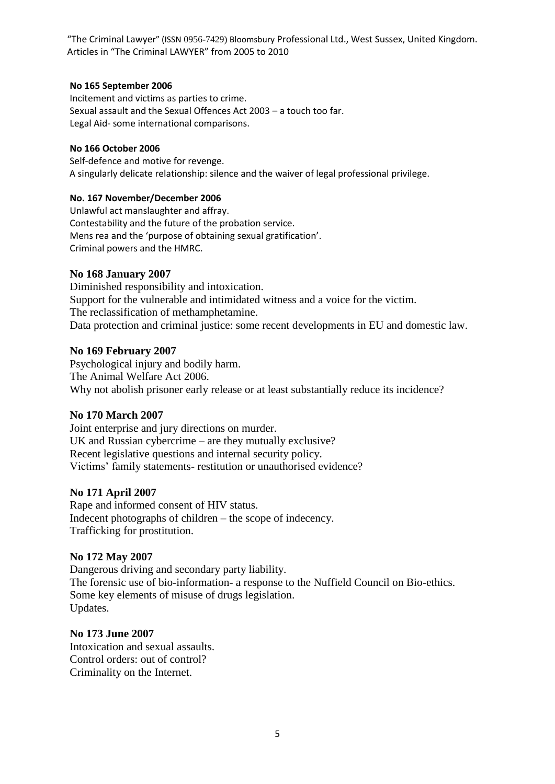# **No 165 September 2006**

Incitement and victims as parties to crime. Sexual assault and the Sexual Offences Act 2003 – a touch too far. Legal Aid- some international comparisons.

# **No 166 October 2006**

Self-defence and motive for revenge. A singularly delicate relationship: silence and the waiver of legal professional privilege.

# **No. 167 November/December 2006**

Unlawful act manslaughter and affray. Contestability and the future of the probation service. Mens rea and the 'purpose of obtaining sexual gratification'. Criminal powers and the HMRC.

# **No 168 January 2007**

Diminished responsibility and intoxication. Support for the vulnerable and intimidated witness and a voice for the victim. The reclassification of methamphetamine. Data protection and criminal justice: some recent developments in EU and domestic law.

# **No 169 February 2007**

Psychological injury and bodily harm. The Animal Welfare Act 2006. Why not abolish prisoner early release or at least substantially reduce its incidence?

# **No 170 March 2007**

Joint enterprise and jury directions on murder. UK and Russian cybercrime – are they mutually exclusive? Recent legislative questions and internal security policy. Victims" family statements- restitution or unauthorised evidence?

# **No 171 April 2007**

Rape and informed consent of HIV status. Indecent photographs of children – the scope of indecency. Trafficking for prostitution.

# **No 172 May 2007**

Dangerous driving and secondary party liability. The forensic use of bio-information- a response to the Nuffield Council on Bio-ethics. Some key elements of misuse of drugs legislation. Updates.

# **No 173 June 2007**

Intoxication and sexual assaults. Control orders: out of control? Criminality on the Internet.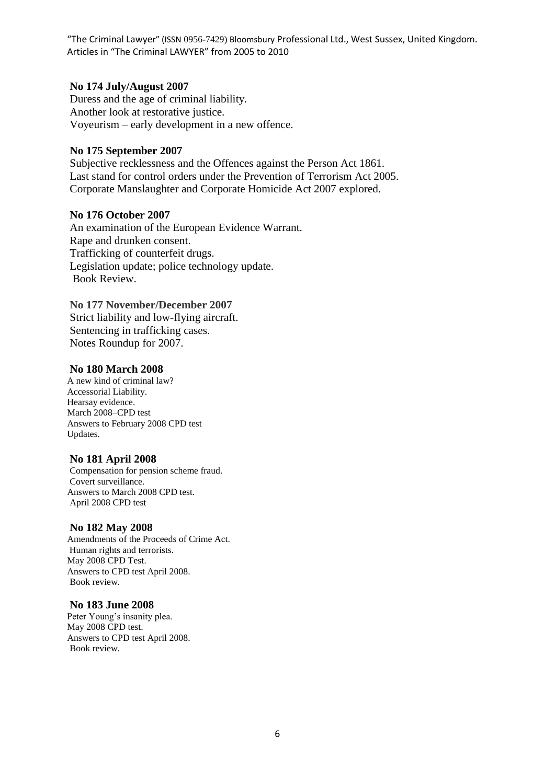# **No 174 July/August 2007**

Duress and the age of criminal liability. Another look at restorative justice. Voyeurism – early development in a new offence.

# **No 175 September 2007**

Subjective recklessness and the Offences against the Person Act 1861. Last stand for control orders under the Prevention of Terrorism Act 2005. Corporate Manslaughter and Corporate Homicide Act 2007 explored.

# **No 176 October 2007**

An examination of the European Evidence Warrant. Rape and drunken consent. Trafficking of counterfeit drugs. Legislation update; police technology update. Book Review.

# **No 177 November/December 2007**

Strict liability and low-flying aircraft. Sentencing in trafficking cases. Notes Roundup for 2007.

# **No 180 March 2008**

A new kind of criminal law? Accessorial Liability. Hearsay evidence. March 2008–CPD test Answers to February 2008 CPD test Updates.

# **No 181 April 2008**

Compensation for pension scheme fraud. Covert surveillance. Answers to March 2008 CPD test. April 2008 CPD test

## **No 182 May 2008**

Amendments of the Proceeds of Crime Act. Human rights and terrorists. May 2008 CPD Test. Answers to CPD test April 2008. Book review.

## **No 183 June 2008**

Peter Young's insanity plea. May 2008 CPD test. Answers to CPD test April 2008. Book review.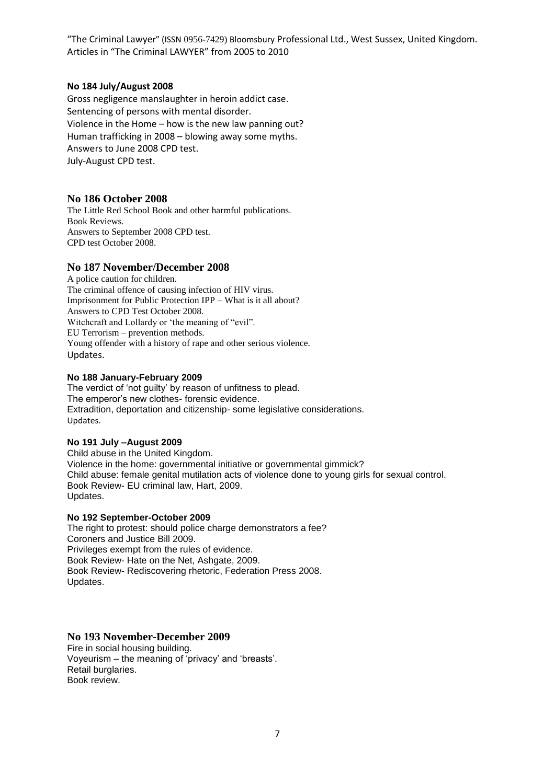## **No 184 July/August 2008**

Gross negligence manslaughter in heroin addict case. Sentencing of persons with mental disorder. Violence in the Home – how is the new law panning out? Human trafficking in 2008 – blowing away some myths. Answers to June 2008 CPD test. July-August CPD test.

#### **No 186 October 2008**

The Little Red School Book and other harmful publications. Book Reviews. Answers to September 2008 CPD test. CPD test October 2008.

## **No 187 November/December 2008**

A police caution for children. The criminal offence of causing infection of HIV virus. Imprisonment for Public Protection IPP – What is it all about? Answers to CPD Test October 2008. Witchcraft and Lollardy or 'the meaning of "evil". EU Terrorism – prevention methods. Young offender with a history of rape and other serious violence. Updates.

#### **No 188 January-February 2009**

The verdict of 'not guilty' by reason of unfitness to plead. The emperor's new clothes- forensic evidence. Extradition, deportation and citizenship- some legislative considerations. Updates.

#### **No 191 July –August 2009**

Child abuse in the United Kingdom. Violence in the home: governmental initiative or governmental gimmick? Child abuse: female genital mutilation acts of violence done to young girls for sexual control. Book Review- EU criminal law, Hart, 2009. Updates.

#### **No 192 September-October 2009**

The right to protest: should police charge demonstrators a fee? Coroners and Justice Bill 2009. Privileges exempt from the rules of evidence. Book Review- Hate on the Net, Ashgate, 2009. Book Review- Rediscovering rhetoric, Federation Press 2008. Updates.

## **No 193 November-December 2009**

Fire in social housing building. Voyeurism – the meaning of 'privacy' and 'breasts'. Retail burglaries. Book review.